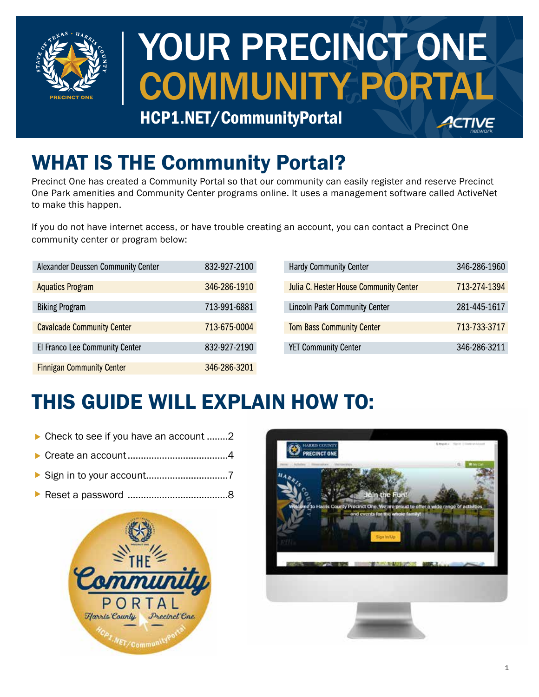

# YOUR PRECINCT ONE COMMUNITY PORTAL

HCP1.NET/CommunityPortal

## WHAT IS THE Community Portal?

Precinct One has created a Community Portal so that our community can easily register and reserve Precinct One Park amenities and Community Center programs online. It uses a management software called ActiveNet to make this happen.

If you do not have internet access, or have trouble creating an account, you can contact a Precinct One community center or program below:

| Alexander Deussen Community Center | 832-927-2100 |
|------------------------------------|--------------|
| <b>Aquatics Program</b>            | 346-286-1910 |
| <b>Biking Program</b>              | 713-991-6881 |
| <b>Cavalcade Community Center</b>  | 713-675-0004 |
| El Franco Lee Community Center     | 832-927-2190 |
| <b>Finnigan Community Center</b>   | 346-286-3201 |

| <b>Hardy Community Center</b>          | 346-286-1960 |
|----------------------------------------|--------------|
| Julia C. Hester House Community Center | 713-274-1394 |
| <b>Lincoln Park Community Center</b>   | 281-445-1617 |
| <b>Tom Bass Community Center</b>       | 713-733-3717 |
| <b>YET Community Center</b>            | 346-286-3211 |

### THIS GUIDE WILL EXPLAIN HOW TO:

- ▶ [Check to see if you have an account](#page-1-0) ........2
- [Create an account......................................4](#page-3-0)
- [Sign in to your account...............................7](#page-6-0)
- [Reset a password ......................................8](#page-7-0)



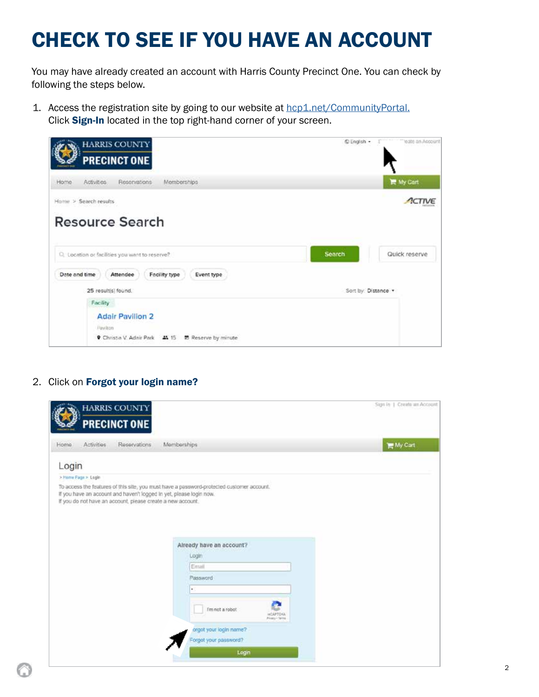### <span id="page-1-0"></span>CHECK TO SEE IF YOU HAVE AN ACCOUNT

You may have already created an account with Harris County Precinct One. You can check by following the steps below.

1. Access the registration site by going to our website at [hcp1.net/CommunityPortal.](https://www.hcp1.net/CommunityPortal) Click Sign-In located in the top right-hand corner of your screen.

| <b>HARRIS COUNTY</b><br><b>PRECINCT ONE</b>                                                                            | C English -         | teate an Account  |
|------------------------------------------------------------------------------------------------------------------------|---------------------|-------------------|
| Momberships<br>Activities<br>Reservations<br>Home                                                                      |                     | <b>IF</b> My Cart |
| Home > Search results                                                                                                  |                     | ACTIVE            |
| <b>Resource Search</b>                                                                                                 |                     |                   |
| Q. Location or facilities you want to reserve?                                                                         | <b>Search</b>       | Quick reserve     |
| Date and time<br>Facility type<br>Attendee<br>Event type                                                               |                     |                   |
| 25 result(s) found.                                                                                                    | Sort by: Distance . |                   |
| Facility<br><b>Adair Pavilion 2</b><br>Paydicin<br><b>9</b> Christia V. Adair Park <b>44</b> 15<br>思 Reserve by minute |                     |                   |

#### 2. Click on Forgot your login name?

|       |                     | <b>HARRIS COUNTY</b><br><b>PRECINCT ONE</b> |                                                        | Sign in 1 Create an Account |
|-------|---------------------|---------------------------------------------|--------------------------------------------------------|-----------------------------|
| Home  | <b>Activities</b>   | Reservations                                | Momborships                                            | <b>He My Cart</b>           |
| Login |                     |                                             |                                                        |                             |
|       | > Home Page > Login |                                             |                                                        |                             |
|       |                     |                                             | Already have an account?<br>Login                      |                             |
|       |                     |                                             | Email                                                  |                             |
|       |                     |                                             | Password<br>٠                                          |                             |
|       |                     |                                             | Fm not a robot<br><b>HOAPTO GL</b><br>Private - Serria |                             |
|       |                     |                                             | orgot your login name?<br>Forgot your password?        |                             |
|       |                     |                                             | Login                                                  |                             |
|       |                     |                                             |                                                        |                             |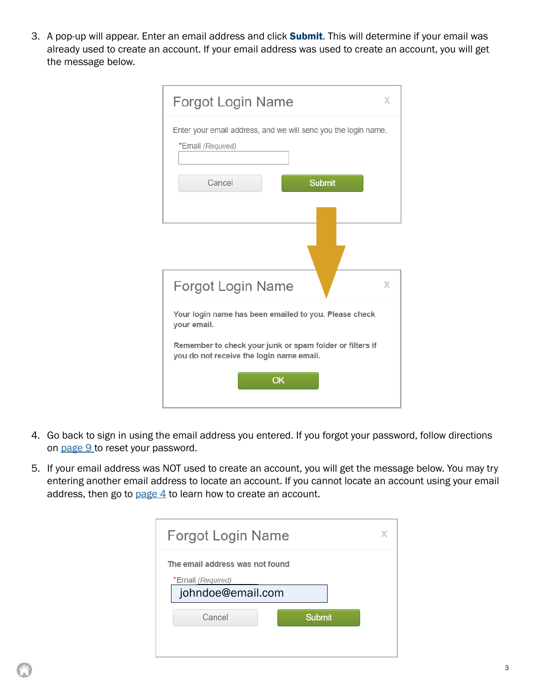3. A pop-up will appear. Enter an email address and click Submit. This will determine if your email was already used to create an account. If your email address was used to create an account, you will get the message below.

| <b>Forgot Login Name</b><br>X                                                                        |
|------------------------------------------------------------------------------------------------------|
| Enter your email address, and we will send you the login name.<br>*Email (Required)                  |
| Cancel<br><b>Submit</b>                                                                              |
|                                                                                                      |
| <b>Forgot Login Name</b><br>X                                                                        |
| Your login name has been emailed to you. Please check<br>your email.                                 |
| Remember to check your junk or spam folder or filters if<br>you do not receive the login name email. |
| OK                                                                                                   |

- 4. Go back to sign in using the email address you entered. If you forgot your password, follow directions on page 9 to reset your password.
- 5. If your email address was NOT used to create an account, you will get the message below. You may try entering another email address to locate an account. If you cannot locate an account using your email address, then go to page  $4$  to learn how to create an account.

| The email address was not found<br>*Email (Required)<br>johndoe@email.com<br>Cancel<br><b>Submit</b> | Forgot Login Name | x |
|------------------------------------------------------------------------------------------------------|-------------------|---|
|                                                                                                      |                   |   |
|                                                                                                      |                   |   |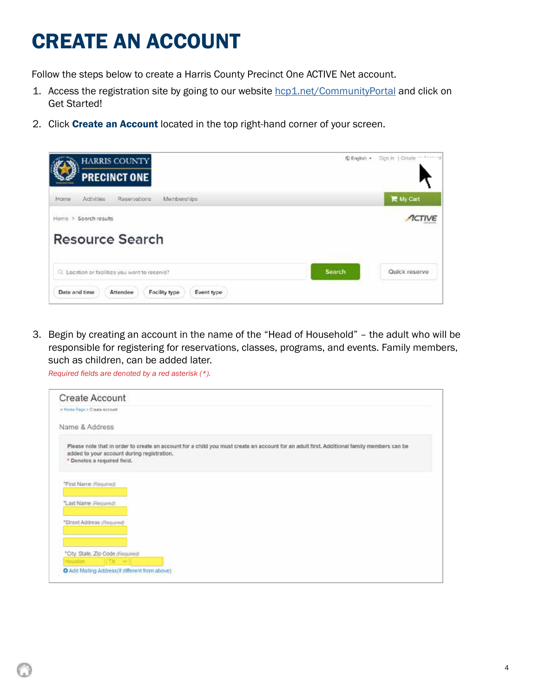### <span id="page-3-0"></span>CREATE AN ACCOUNT

Follow the steps below to create a Harris County Precinct One ACTIVE Net account.

- 1. Access the registration site by going to our website [hcp1.net/CommunityPortal](https://www.hcp1.net/CommunityPortal) and click on Get Started!
- 2. Click Create an Account located in the top right-hand corner of your screen.

| <b>HARRIS COUNTY</b><br><b>PRECINCT ONE</b>              | C English . | Sign In   Create |
|----------------------------------------------------------|-------------|------------------|
| Memberships<br>Home<br>Activities:<br>Reservations:      |             | ■ My Cart        |
| Home > Search results                                    |             |                  |
| <b>Resource Search</b>                                   |             |                  |
| C) Location or facilities you want to reserve?           | Search      | Quick reserve    |
| Date and time<br>Attendee<br>Facility type<br>Event type |             |                  |

3. Begin by creating an account in the name of the "Head of Household" – the adult who will be responsible for registering for reservations, classes, programs, and events. Family members, such as children, can be added later.

*Required fields are denoted by a red asterisk (\*).*

| <b>Create Account</b>             |                                                                                                                                                                                          |
|-----------------------------------|------------------------------------------------------------------------------------------------------------------------------------------------------------------------------------------|
| > Home Page > Create Account      |                                                                                                                                                                                          |
| Name & Address                    |                                                                                                                                                                                          |
| * Denotes a required field.       | Please note that in order to create an account for a child you must create an account for an adult first. Additional family members can be<br>added to your account during registration. |
| "First Name (Required)            |                                                                                                                                                                                          |
| "Last Name (Reguired)             |                                                                                                                                                                                          |
| *Street Address (Required)        |                                                                                                                                                                                          |
|                                   |                                                                                                                                                                                          |
| *City, State, Zip Code (Reguired) |                                                                                                                                                                                          |
| Houston                           | $TX$ $\sim$                                                                                                                                                                              |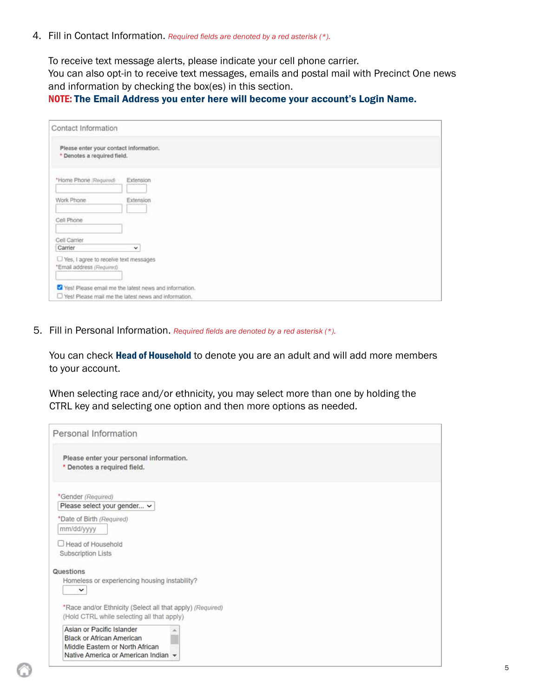4. Fill in Contact Information. *Required fields are denoted by a red asterisk (\*).*

To receive text message alerts, please indicate your cell phone carrier.

You can also opt-in to receive text messages, emails and postal mail with Precinct One news and information by checking the box(es) in this section.

#### NOTE: The Email Address you enter here will become your account's Login Name.

| Contact Information                                                   |                                                        |  |
|-----------------------------------------------------------------------|--------------------------------------------------------|--|
| Please enter your contact information.<br>* Denotes a required field. |                                                        |  |
| *Home Phone (Required)                                                | Extension                                              |  |
| Work Phone                                                            | Extension                                              |  |
| Cell Phone                                                            |                                                        |  |
| Cell Carrier                                                          |                                                        |  |
| Carrier                                                               | v                                                      |  |
| LI Yes, I agree to receive text messages<br>*Email address (Required) |                                                        |  |
|                                                                       | Yes! Please email me the latest news and information.  |  |
|                                                                       | U Yes! Please mail me the latest news and information. |  |

5. Fill in Personal Information. *Required fields are denoted by a red asterisk (\*).*

You can check Head of Household to denote you are an adult and will add more members to your account.

When selecting race and/or ethnicity, you may select more than one by holding the CTRL key and selecting one option and then more options as needed.

| Personal Information                                                                                                                    |  |
|-----------------------------------------------------------------------------------------------------------------------------------------|--|
| Please enter your personal information.<br>* Denotes a required field.                                                                  |  |
| *Gender (Required)<br>Please select your gender v                                                                                       |  |
| *Date of Birth (Required)<br>mm/dd/yyyy                                                                                                 |  |
| Head of Household<br>Subscription Lists                                                                                                 |  |
| Questions                                                                                                                               |  |
| Homeless or experiencing housing instability?<br>$\check{~}$                                                                            |  |
| *Race and/or Ethnicity (Select all that apply) (Required)<br>(Hold CTRL while selecting all that apply)                                 |  |
| Asian or Pacific Islander<br><b>Black or African American</b><br>Middle Eastern or North African<br>Native America or American Indian v |  |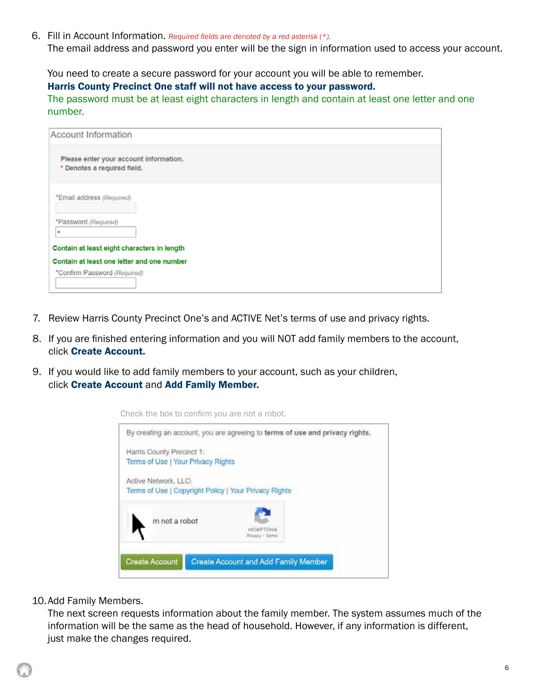6. Fill in Account Information. *Required fields are denoted by a red asterisk (\*).* The email address and password you enter will be the sign in information used to access your account.

You need to create a secure password for your account you will be able to remember.

#### Harris County Precinct One staff will not have access to your password.

The password must be at least eight characters in length and contain at least one letter and one number.

| <b>Account Information</b>                                                 |  |
|----------------------------------------------------------------------------|--|
| Please enter your account information.<br>* Denotes a required field.      |  |
| *Email address (Required)                                                  |  |
| *Password (Required)<br>٠                                                  |  |
| Contain at least eight characters in length                                |  |
| Contain at least one letter and one number<br>*Confirm Password (Required) |  |

- 7. Review Harris County Precinct One's and ACTIVE Net's terms of use and privacy rights.
- 8. If you are finished entering information and you will NOT add family members to the account, click Create Account.
- 9. If you would like to add family members to your account, such as your children, click Create Account and Add Family Member.



Check the box to confirm you are not a robot.

10.Add Family Members.

The next screen requests information about the family member. The system assumes much of the information will be the same as the head of household. However, if any information is different, just make the changes required.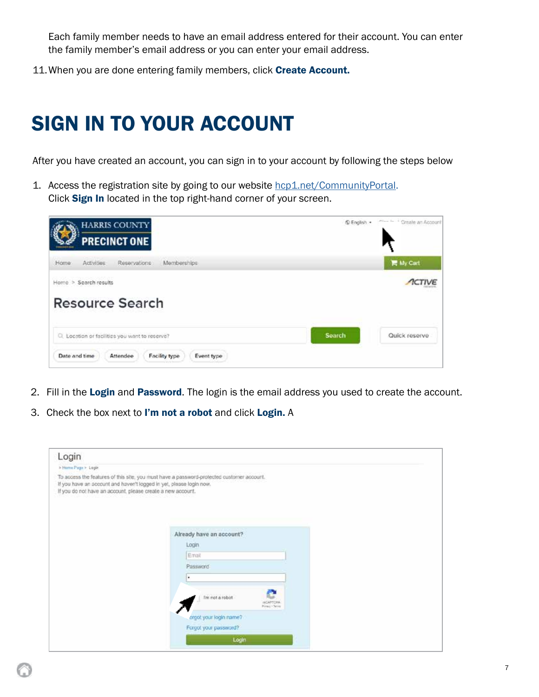<span id="page-6-0"></span>Each family member needs to have an email address entered for their account. You can enter the family member's email address or you can enter your email address.

11. When you are done entering family members, click Create Account.

### SIGN IN TO YOUR ACCOUNT

After you have created an account, you can sign in to your account by following the steps below

1. Access the registration site by going to our website hcp1.net/CommunityPortal. Click Sign In located in the top right-hand corner of your screen.



- 2. Fill in the Login and Password. The login is the email address you used to create the account.
- 3. Check the box next to I'm not a robot and click Login. A

| > Harris Page > Login<br>To access the features of this site, you must have a password-protected customer account.<br>If you have an account and haven't logged in yet, please login now.<br>If you do not have an account, please create a new account.<br>Already have an account?<br>Login<br>Email<br>Password<br>٠<br>I'm not a robot<br>HORTOHA<br>Piraci - Seice<br>creot your login name?<br>Forgot your password? | Login |  |
|----------------------------------------------------------------------------------------------------------------------------------------------------------------------------------------------------------------------------------------------------------------------------------------------------------------------------------------------------------------------------------------------------------------------------|-------|--|
|                                                                                                                                                                                                                                                                                                                                                                                                                            |       |  |
|                                                                                                                                                                                                                                                                                                                                                                                                                            |       |  |
|                                                                                                                                                                                                                                                                                                                                                                                                                            |       |  |
|                                                                                                                                                                                                                                                                                                                                                                                                                            |       |  |
|                                                                                                                                                                                                                                                                                                                                                                                                                            |       |  |
|                                                                                                                                                                                                                                                                                                                                                                                                                            |       |  |
|                                                                                                                                                                                                                                                                                                                                                                                                                            |       |  |
|                                                                                                                                                                                                                                                                                                                                                                                                                            |       |  |
|                                                                                                                                                                                                                                                                                                                                                                                                                            |       |  |
| Login                                                                                                                                                                                                                                                                                                                                                                                                                      |       |  |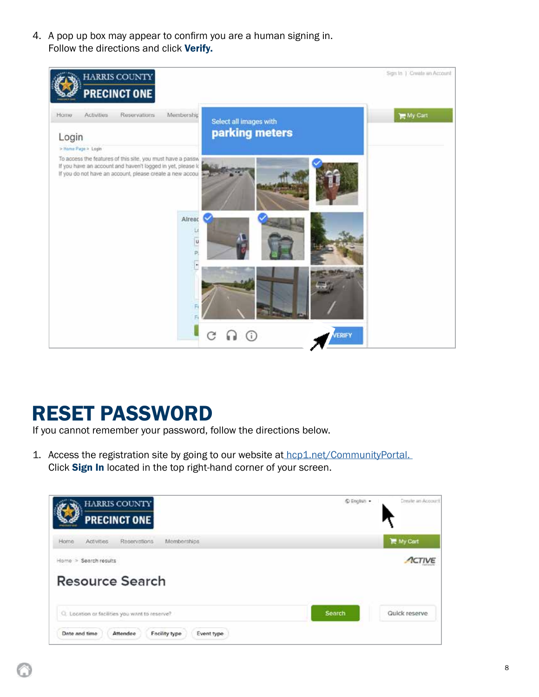<span id="page-7-0"></span>4. A pop up box may appear to confirm you are a human signing in. Follow the directions and click Verify.



### RESET PASSWORD

If you cannot remember your password, follow the directions below.

1. Access the registration site by going to our website at hcp1.net/CommunityPortal. Click Sign In located in the top right-hand corner of your screen.

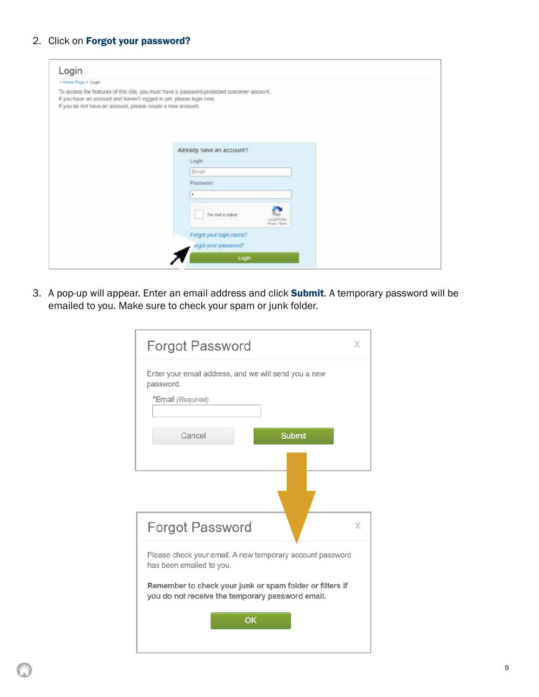#### 2. Click on Forgot your password?

| Login                                                                                                                              |                                                                                           |  |
|------------------------------------------------------------------------------------------------------------------------------------|-------------------------------------------------------------------------------------------|--|
| + Hame Page > Login                                                                                                                |                                                                                           |  |
| If you have an account and haven't logged in yet, please login now.<br>If you do not have an account, please create a new account. | To access the features of this site, you must have a password-protected customer account. |  |
|                                                                                                                                    | Already have an account?                                                                  |  |
|                                                                                                                                    | Login                                                                                     |  |
|                                                                                                                                    | Ernall                                                                                    |  |
|                                                                                                                                    | Password                                                                                  |  |
|                                                                                                                                    | ٠                                                                                         |  |
|                                                                                                                                    | I'm not a robot<br>HOAPTONA<br>Privacy - Terra                                            |  |
|                                                                                                                                    | Forgot your login name?                                                                   |  |
|                                                                                                                                    | argot your password?                                                                      |  |
|                                                                                                                                    |                                                                                           |  |

3. A pop-up will appear. Enter an email address and click **Submit**. A temporary password will be emailed to you. Make sure to check your spam or junk folder.

| <b>Forgot Password</b>                                                                                                                                                                                | X |
|-------------------------------------------------------------------------------------------------------------------------------------------------------------------------------------------------------|---|
| Enter your email address, and we will send you a new<br>password.<br>*Email (Required)<br>Cancel<br><b>Submit</b>                                                                                     |   |
| <b>Forgot Password</b>                                                                                                                                                                                | X |
| Please check your email. A new temporary account password<br>has been emailed to you.<br>Remember to check your junk or spam folder or filters if<br>you do not receive the temporary password email. |   |
| OK                                                                                                                                                                                                    |   |